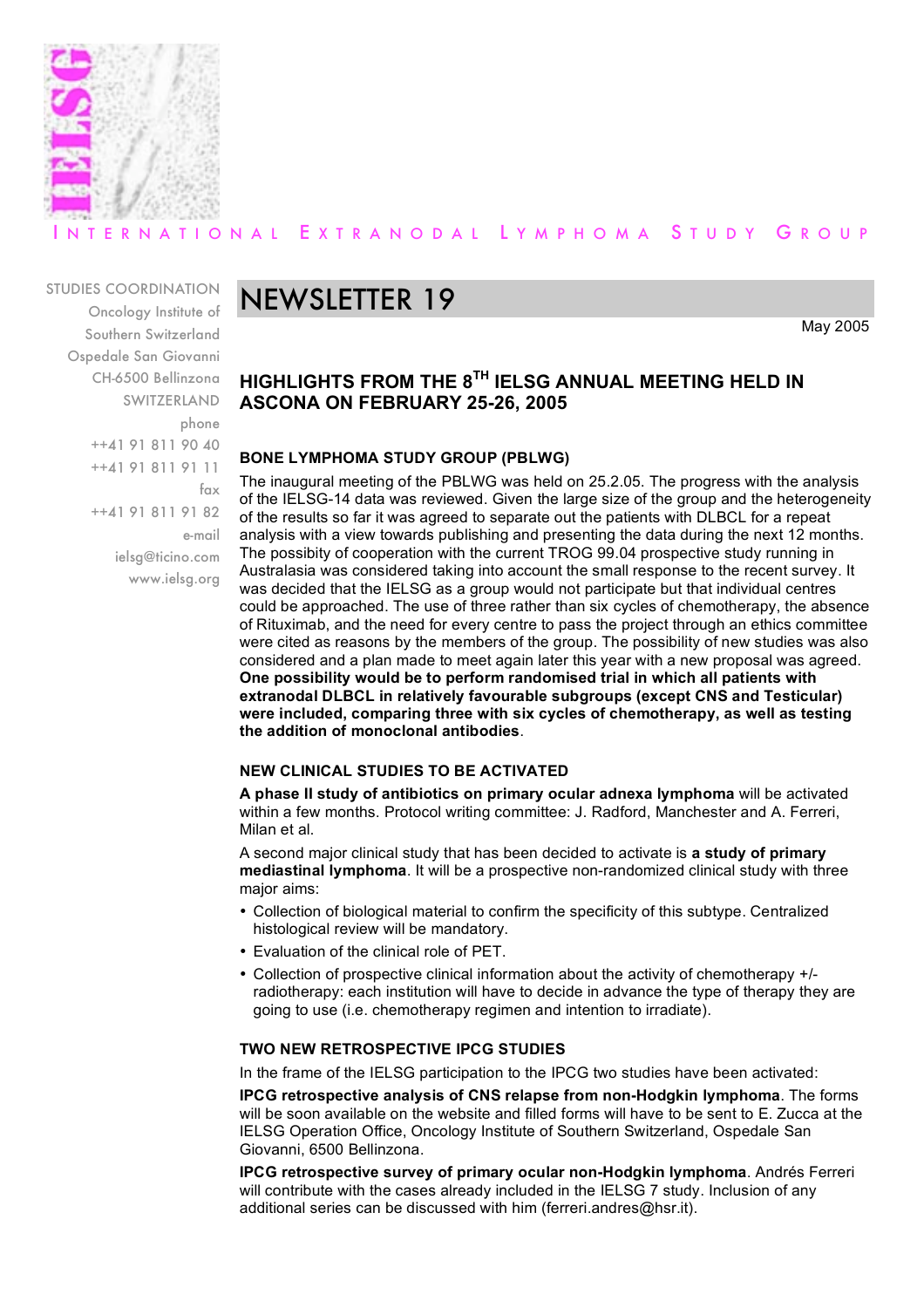

### ERNATIONAL EXTRANODAL LYMPHOMA STUDY GROUP

#### STUDIES COORDINATION

Oncology Institute of Southern Switzerland Ospedale San Giovanni CH-6500 Bellinzona SWITZERLAND phone ++41 91 811 90 40 ++41 91 811 91 11 fax ++41 91 811 91 82 e-mail ielsg@ticino.com www.ielsg.org

## NEWSLETTER 19

May 2005

#### **HIGHLIGHTS FROM THE 8TH IELSG ANNUAL MEETING HELD IN ASCONA ON FEBRUARY 25-26, 2005**

#### **BONE LYMPHOMA STUDY GROUP (PBLWG)**

The inaugural meeting of the PBLWG was held on 25.2.05. The progress with the analysis of the IELSG-14 data was reviewed. Given the large size of the group and the heterogeneity of the results so far it was agreed to separate out the patients with DLBCL for a repeat analysis with a view towards publishing and presenting the data during the next 12 months. The possibity of cooperation with the current TROG 99.04 prospective study running in Australasia was considered taking into account the small response to the recent survey. It was decided that the IELSG as a group would not participate but that individual centres could be approached. The use of three rather than six cycles of chemotherapy, the absence of Rituximab, and the need for every centre to pass the project through an ethics committee were cited as reasons by the members of the group. The possibility of new studies was also considered and a plan made to meet again later this year with a new proposal was agreed. **One possibility would be to perform randomised trial in which all patients with extranodal DLBCL in relatively favourable subgroups (except CNS and Testicular) were included, comparing three with six cycles of chemotherapy, as well as testing the addition of monoclonal antibodies**.

#### **NEW CLINICAL STUDIES TO BE ACTIVATED**

**A phase II study of antibiotics on primary ocular adnexa lymphoma** will be activated within a few months. Protocol writing committee: J. Radford, Manchester and A. Ferreri, Milan et al.

A second major clinical study that has been decided to activate is **a study of primary mediastinal lymphoma**. It will be a prospective non-randomized clinical study with three major aims:

- Collection of biological material to confirm the specificity of this subtype. Centralized histological review will be mandatory.
- Evaluation of the clinical role of PET.
- Collection of prospective clinical information about the activity of chemotherapy +/ radiotherapy: each institution will have to decide in advance the type of therapy they are going to use (i.e. chemotherapy regimen and intention to irradiate).

#### **TWO NEW RETROSPECTIVE IPCG STUDIES**

In the frame of the IELSG participation to the IPCG two studies have been activated:

**IPCG retrospective analysis of CNS relapse from non-Hodgkin lymphoma**. The forms will be soon available on the website and filled forms will have to be sent to E. Zucca at the IELSG Operation Office, Oncology Institute of Southern Switzerland, Ospedale San Giovanni, 6500 Bellinzona.

**IPCG retrospective survey of primary ocular non-Hodgkin lymphoma**. Andrés Ferreri will contribute with the cases already included in the IELSG 7 study. Inclusion of any additional series can be discussed with him (ferreri.andres@hsr.it).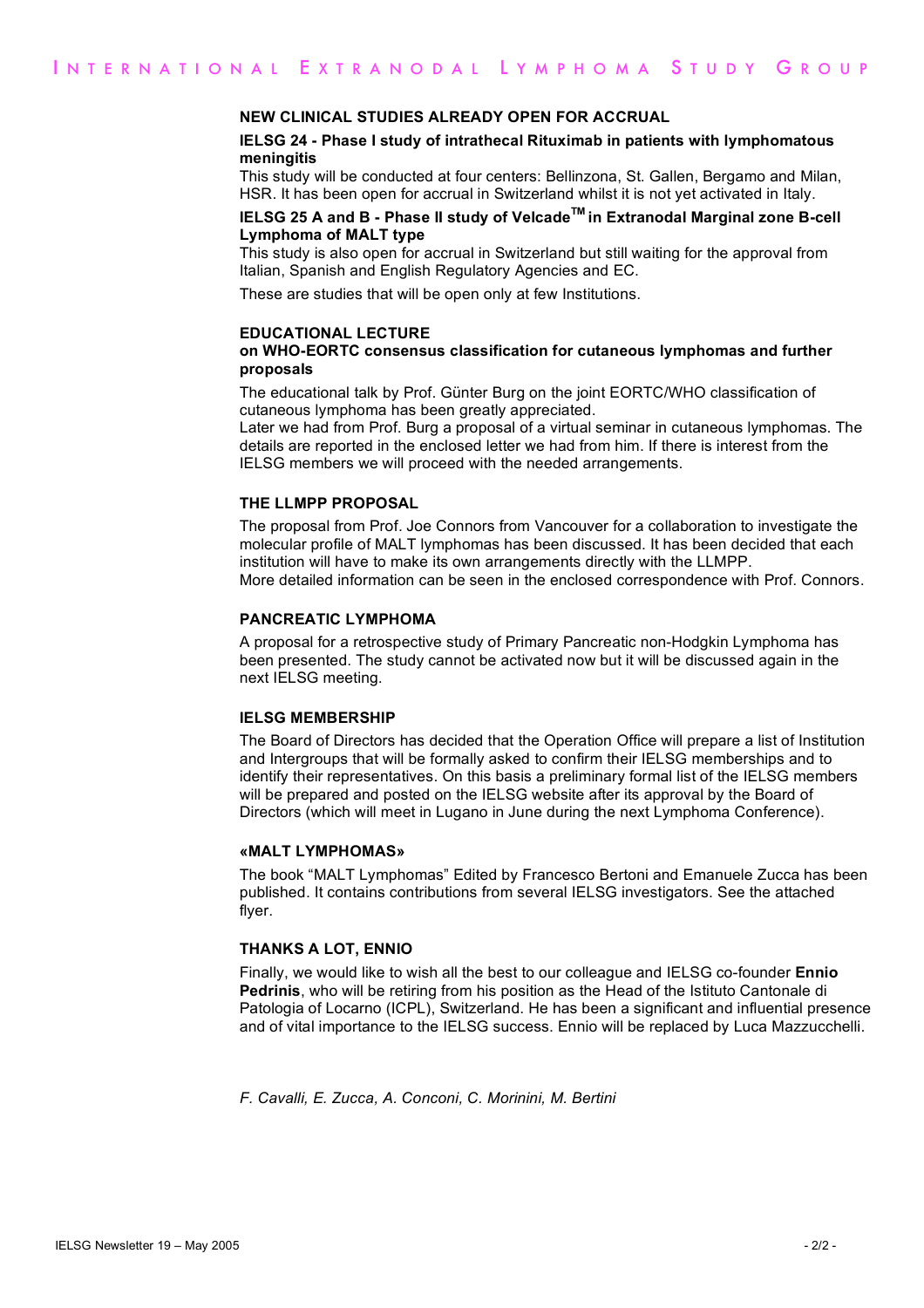#### **NEW CLINICAL STUDIES ALREADY OPEN FOR ACCRUAL**

#### **IELSG 24 - Phase I study of intrathecal Rituximab in patients with lymphomatous meningitis**

This study will be conducted at four centers: Bellinzona, St. Gallen, Bergamo and Milan, HSR. It has been open for accrual in Switzerland whilst it is not yet activated in Italy.

#### **IELSG 25 A and B - Phase II study of VelcadeTM in Extranodal Marginal zone B-cell Lymphoma of MALT type**

This study is also open for accrual in Switzerland but still waiting for the approval from Italian, Spanish and English Regulatory Agencies and EC.

These are studies that will be open only at few Institutions.

#### **EDUCATIONAL LECTURE**

#### **on WHO-EORTC consensus classification for cutaneous lymphomas and further proposals**

The educational talk by Prof. Günter Burg on the joint EORTC/WHO classification of cutaneous lymphoma has been greatly appreciated.

Later we had from Prof. Burg a proposal of a virtual seminar in cutaneous lymphomas. The details are reported in the enclosed letter we had from him. If there is interest from the IELSG members we will proceed with the needed arrangements.

#### **THE LLMPP PROPOSAL**

The proposal from Prof. Joe Connors from Vancouver for a collaboration to investigate the molecular profile of MALT lymphomas has been discussed. It has been decided that each institution will have to make its own arrangements directly with the LLMPP. More detailed information can be seen in the enclosed correspondence with Prof. Connors.

#### **PANCREATIC LYMPHOMA**

A proposal for a retrospective study of Primary Pancreatic non-Hodgkin Lymphoma has been presented. The study cannot be activated now but it will be discussed again in the next IELSG meeting.

#### **IELSG MEMBERSHIP**

The Board of Directors has decided that the Operation Office will prepare a list of Institution and Intergroups that will be formally asked to confirm their IELSG memberships and to identify their representatives. On this basis a preliminary formal list of the IELSG members will be prepared and posted on the IELSG website after its approval by the Board of Directors (which will meet in Lugano in June during the next Lymphoma Conference).

#### **«MALT LYMPHOMAS»**

The book "MALT Lymphomas" Edited by Francesco Bertoni and Emanuele Zucca has been published. It contains contributions from several IELSG investigators. See the attached flyer.

#### **THANKS A LOT, ENNIO**

Finally, we would like to wish all the best to our colleague and IELSG co-founder **Ennio Pedrinis**, who will be retiring from his position as the Head of the Istituto Cantonale di Patologia of Locarno (ICPL), Switzerland. He has been a significant and influential presence and of vital importance to the IELSG success. Ennio will be replaced by Luca Mazzucchelli.

*F. Cavalli, E. Zucca, A. Conconi, C. Morinini, M. Bertini*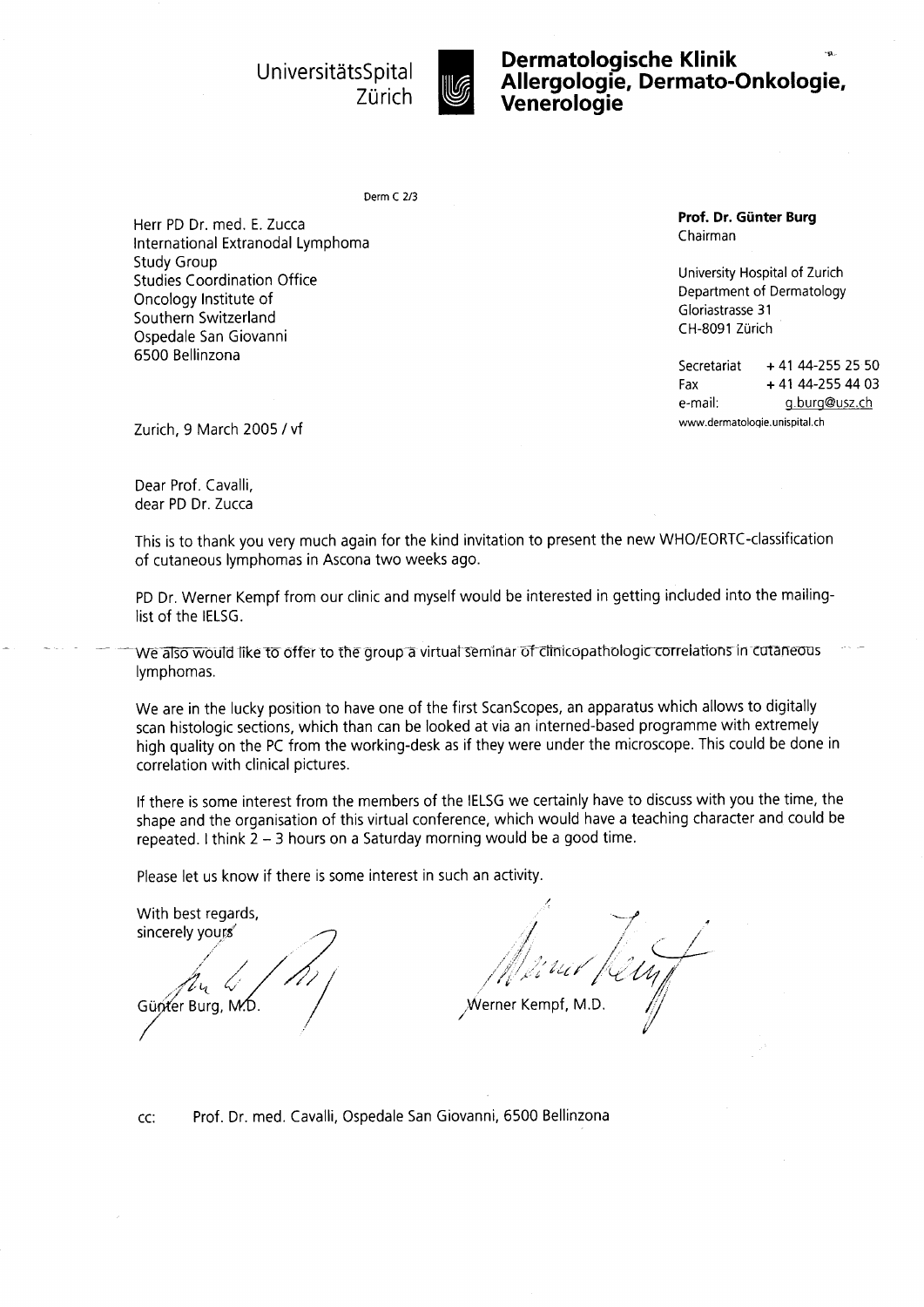

UniversitätsSpital **Intervention Dermatologische Klinik**<br>7ürich **III. Manarelogie, Dermato-**Spital **in Allergologie, Dermato-Onkologie,**<br>Zürich **Wenerologie** 

Derm C 2/3

Herr PD Dr. med. E.Zucca International Extranodal Lymphoma Study Group Studies Coordination Office Oncology Institute of Southern Switzerland Ospedale San Giovanni 6500 Bellinzona

Prof. Dr. Giinter Burg Chairman

University Hospital of Zurich Department of Dermatology Gloriastrasse 31 CH-8091 Zurich

Secretariat + 41 44-255 25 50 Fax + 41 44-255 44 03 e-mail: g.burg@usz.ch

Zurich, 9 March 2005 / vf www.dermatologie.unispital.ch

Dear Prof. Cavalli, dear PD Dr. Zucca

This is to thank you very much again for the kind invitation to present the new WHO/EORTC-classification of cutaneous lymphomas in Ascona two weeks ago.

PD Dr. Werner Kempf from our clinic and myself would be interested in getting included into the mailinglist of the IELSG.

We also would like to offer to the group a virtual seminar of clinicopathologic correlations in cutaneous lymphomas.

We are in the lucky position to have one of the first ScanScopes, an apparatus which allows to digitally scan histologic sections, which than can be looked at via an interned-based programme with extremely high quality on the PC from the working-desk as if they were under the microscope. This could be done in correlation with clinical pictures.

lf there is some interest from the members of the IELSG we certainly have to discuss with you the time, the shape and the organisation of this virtual conference, which would have a teaching character and could be repeated. I think  $2 - 3$  hours on a Saturday morning would be a good time.

Please let us know if there is some interest in such an activity.

With best regards, sincerely yours Günter Burg, M.D.

/  $\smash{\smash{\smash{\int}}\hspace{-1.2em}}$  $\sim$   $\sqrt{ }$  $\mathscr{M}_{\lambda}$  , ..., ..., ..., ... '"/;i" " /'t t/ /'c 4,'/t, ,Werner Kempf, M.D. /

Prof. Dr. med. Cavalli, Ospedale San Giovanni, 6500 BellinzonaCC: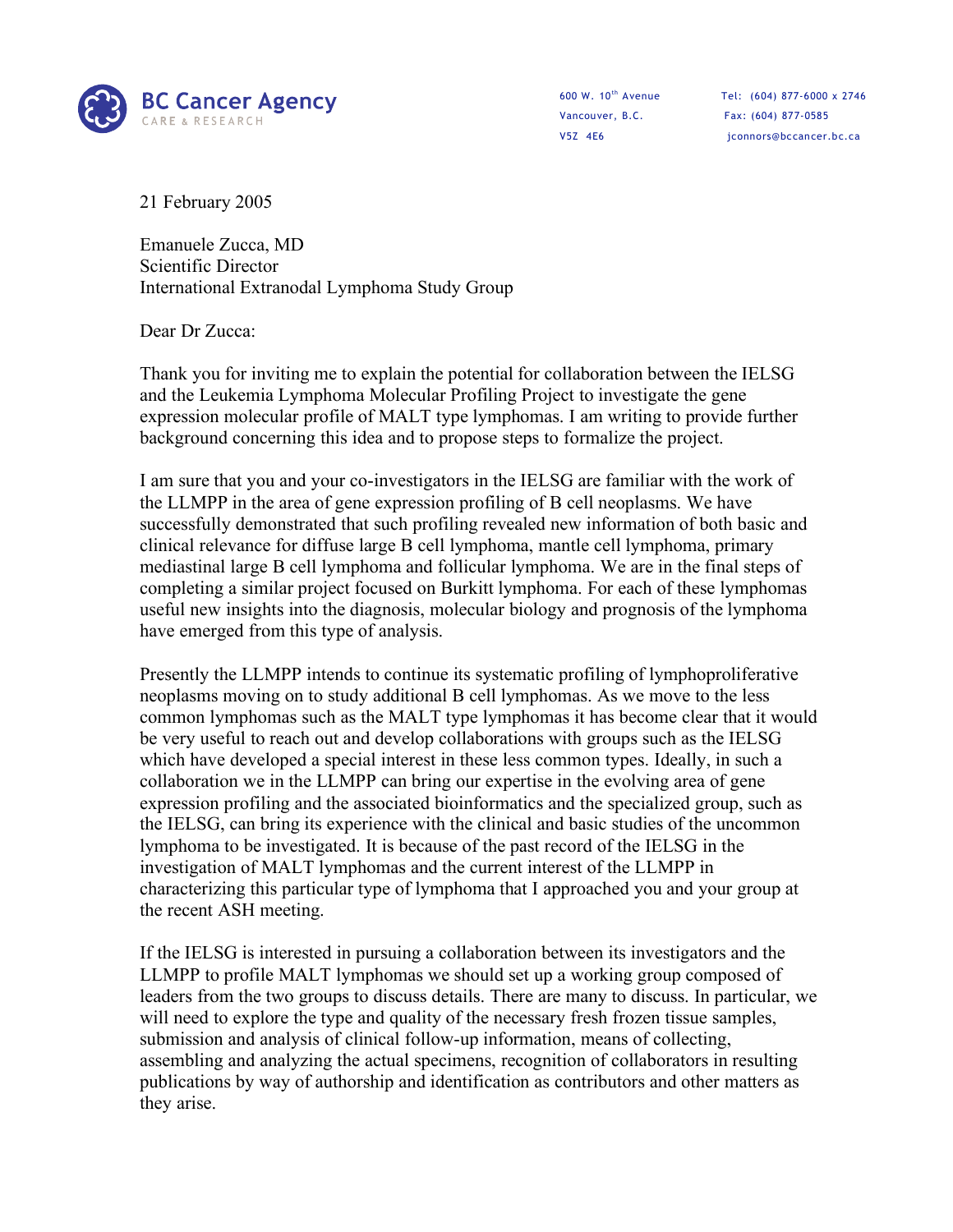

Vancouver, B.C. Fax: (604) 877-0585

600 W. 10th Avenue Tel: (604) 877-6000 x 2746 V5Z 4E6 iconnors@bccancer.bc.ca

21 February 2005

Emanuele Zucca, MD Scientific Director International Extranodal Lymphoma Study Group

Dear Dr Zucca:

Thank you for inviting me to explain the potential for collaboration between the IELSG and the Leukemia Lymphoma Molecular Profiling Project to investigate the gene expression molecular profile of MALT type lymphomas. I am writing to provide further background concerning this idea and to propose steps to formalize the project.

I am sure that you and your co-investigators in the IELSG are familiar with the work of the LLMPP in the area of gene expression profiling of B cell neoplasms. We have successfully demonstrated that such profiling revealed new information of both basic and clinical relevance for diffuse large B cell lymphoma, mantle cell lymphoma, primary mediastinal large B cell lymphoma and follicular lymphoma. We are in the final steps of completing a similar project focused on Burkitt lymphoma. For each of these lymphomas useful new insights into the diagnosis, molecular biology and prognosis of the lymphoma have emerged from this type of analysis.

Presently the LLMPP intends to continue its systematic profiling of lymphoproliferative neoplasms moving on to study additional B cell lymphomas. As we move to the less common lymphomas such as the MALT type lymphomas it has become clear that it would be very useful to reach out and develop collaborations with groups such as the IELSG which have developed a special interest in these less common types. Ideally, in such a collaboration we in the LLMPP can bring our expertise in the evolving area of gene expression profiling and the associated bioinformatics and the specialized group, such as the IELSG, can bring its experience with the clinical and basic studies of the uncommon lymphoma to be investigated. It is because of the past record of the IELSG in the investigation of MALT lymphomas and the current interest of the LLMPP in characterizing this particular type of lymphoma that I approached you and your group at the recent ASH meeting.

If the IELSG is interested in pursuing a collaboration between its investigators and the LLMPP to profile MALT lymphomas we should set up a working group composed of leaders from the two groups to discuss details. There are many to discuss. In particular, we will need to explore the type and quality of the necessary fresh frozen tissue samples, submission and analysis of clinical follow-up information, means of collecting, assembling and analyzing the actual specimens, recognition of collaborators in resulting publications by way of authorship and identification as contributors and other matters as they arise.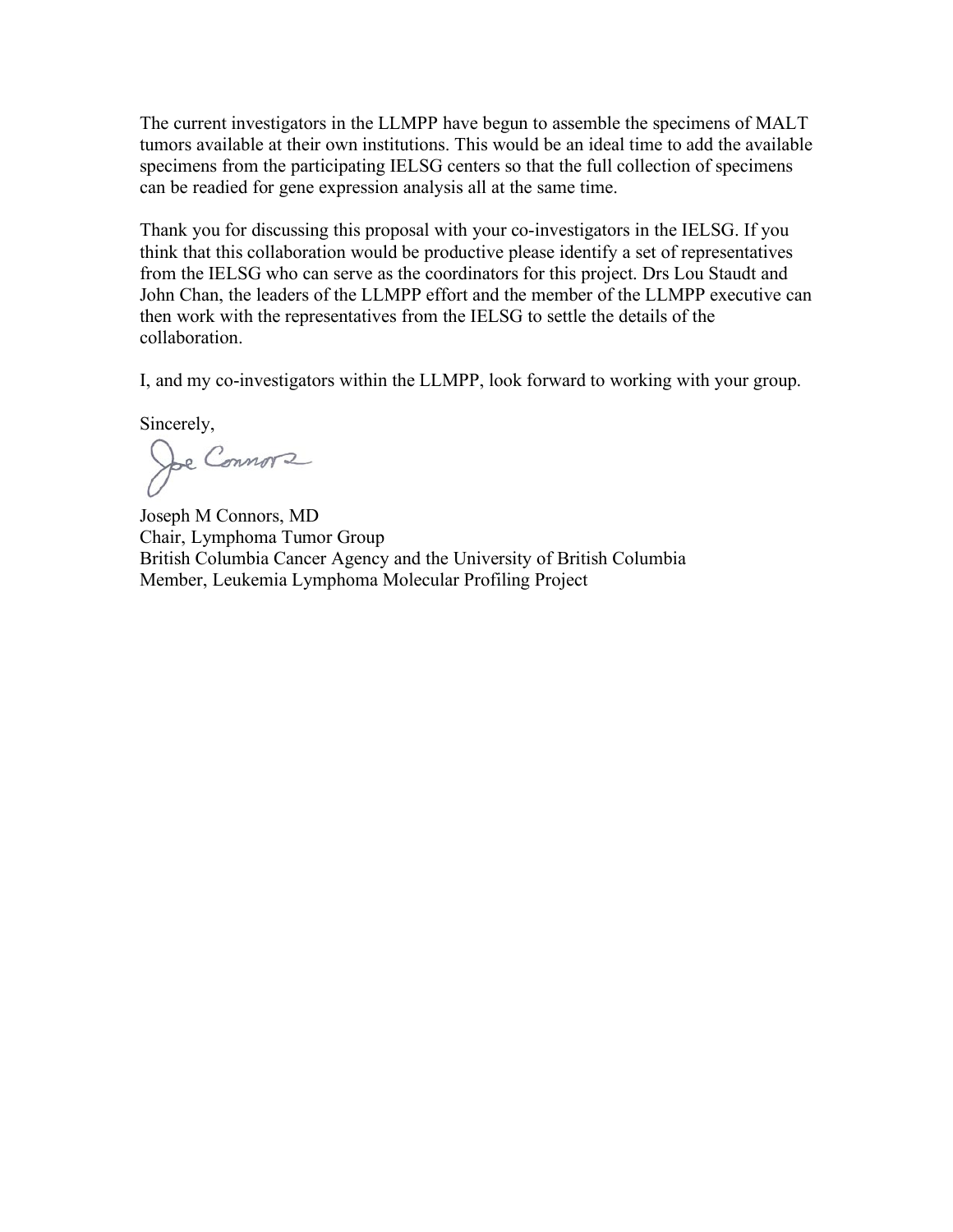The current investigators in the LLMPP have begun to assemble the specimens of MALT tumors available at their own institutions. This would be an ideal time to add the available specimens from the participating IELSG centers so that the full collection of specimens can be readied for gene expression analysis all at the same time.

Thank you for discussing this proposal with your co-investigators in the IELSG. If you think that this collaboration would be productive please identify a set of representatives from the IELSG who can serve as the coordinators for this project. Drs Lou Staudt and John Chan, the leaders of the LLMPP effort and the member of the LLMPP executive can then work with the representatives from the IELSG to settle the details of the collaboration.

I, and my co-investigators within the LLMPP, look forward to working with your group.

Sincerely,

Joe Connors

Joseph M Connors, MD Chair, Lymphoma Tumor Group British Columbia Cancer Agency and the University of British Columbia Member, Leukemia Lymphoma Molecular Profiling Project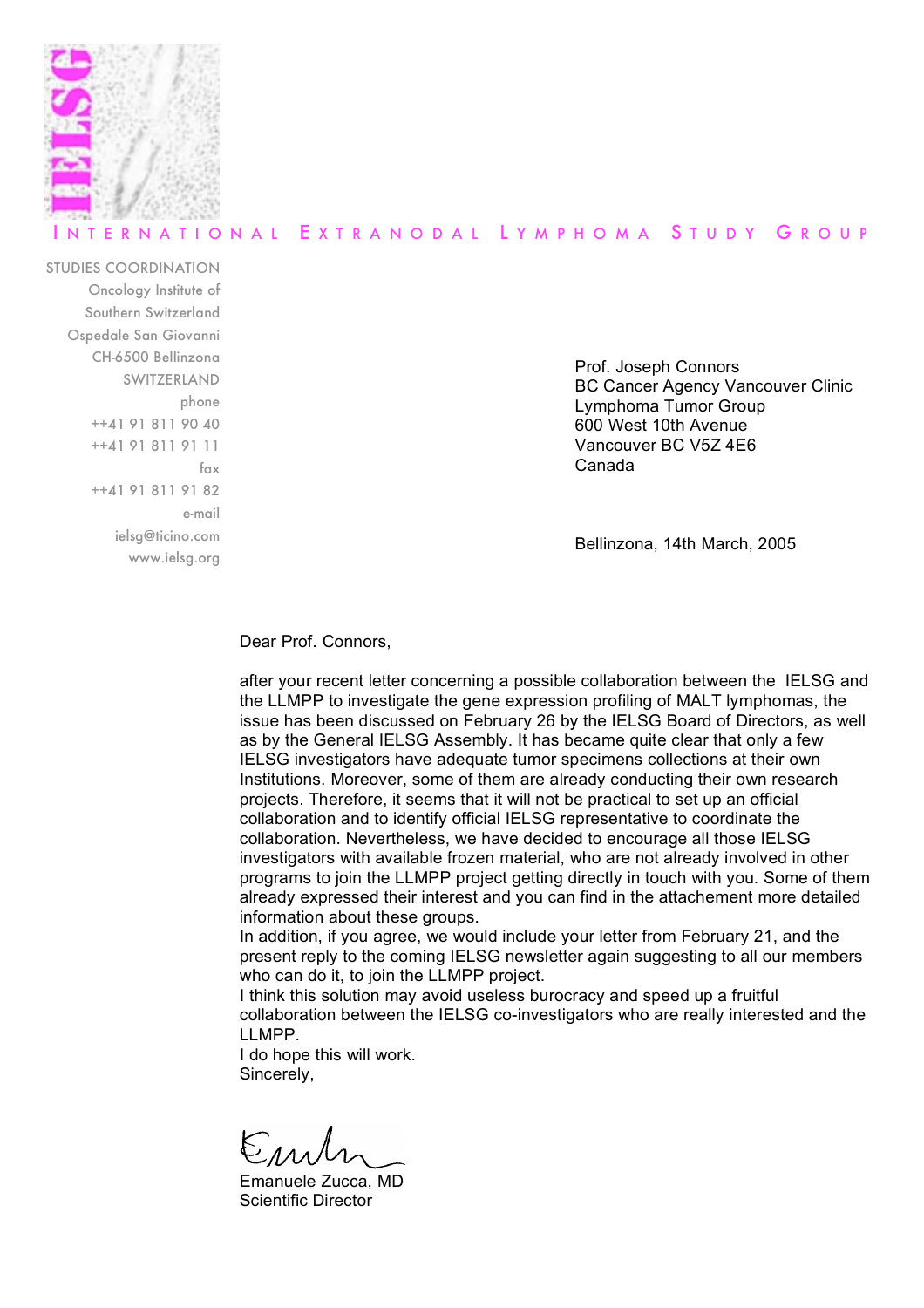

#### ERNATIONAL EXTRANODAL LYMPHOMA STUDY GROUP

STUDIES COORDINATION Oncology Institute of Southern Switzerland Ospedale San Giovanni CH-6500 Bellinzona SWITZERLAND phone ++41 91 811 90 40 ++41 91 811 91 11 fax ++41 91 811 91 82 e-mail ielsg@ticino.com www.ielsg.org

Prof. Joseph Connors BC Cancer Agency Vancouver Clinic Lymphoma Tumor Group 600 West 10th Avenue Vancouver BC V5Z 4E6 Canada

Bellinzona, 14th March, 2005

Dear Prof. Connors,

after your recent letter concerning a possible collaboration between the IELSG and the LLMPP to investigate the gene expression profiling of MALT lymphomas, the issue has been discussed on February 26 by the IELSG Board of Directors, as well as by the General IELSG Assembly. It has became quite clear that only a few IELSG investigators have adequate tumor specimens collections at their own Institutions. Moreover, some of them are already conducting their own research projects. Therefore, it seems that it will not be practical to set up an official collaboration and to identify official IELSG representative to coordinate the collaboration. Nevertheless, we have decided to encourage all those IELSG investigators with available frozen material, who are not already involved in other programs to join the LLMPP project getting directly in touch with you. Some of them already expressed their interest and you can find in the attachement more detailed information about these groups.

In addition, if you agree, we would include your letter from February 21, and the present reply to the coming IELSG newsletter again suggesting to all our members who can do it, to join the LLMPP project.

I think this solution may avoid useless burocracy and speed up a fruitful collaboration between the IELSG co-investigators who are really interested and the LLMPP.

I do hope this will work. Sincerely,

Eml

Emanuele Zucca, MD Scientific Director